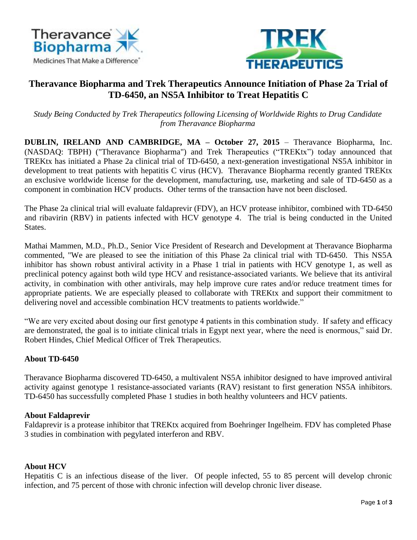



# **Theravance Biopharma and Trek Therapeutics Announce Initiation of Phase 2a Trial of TD-6450, an NS5A Inhibitor to Treat Hepatitis C**

*Study Being Conducted by Trek Therapeutics following Licensing of Worldwide Rights to Drug Candidate from Theravance Biopharma*

**DUBLIN, IRELAND AND CAMBRIDGE, MA – October 27, 2015** – Theravance Biopharma, Inc. (NASDAQ: TBPH) ("Theravance Biopharma") and Trek Therapeutics ("TREKtx") today announced that TREKtx has initiated a Phase 2a clinical trial of TD-6450, a next-generation investigational NS5A inhibitor in development to treat patients with hepatitis C virus (HCV). Theravance Biopharma recently granted TREKtx an exclusive worldwide license for the development, manufacturing, use, marketing and sale of TD-6450 as a component in combination HCV products. Other terms of the transaction have not been disclosed.

The Phase 2a clinical trial will evaluate faldaprevir (FDV), an HCV protease inhibitor, combined with TD-6450 and ribavirin (RBV) in patients infected with HCV genotype 4. The trial is being conducted in the United States.

Mathai Mammen, M.D., Ph.D., Senior Vice President of Research and Development at Theravance Biopharma commented, "We are pleased to see the initiation of this Phase 2a clinical trial with TD-6450. This NS5A inhibitor has shown robust antiviral activity in a Phase 1 trial in patients with HCV genotype 1, as well as preclinical potency against both wild type HCV and resistance-associated variants. We believe that its antiviral activity, in combination with other antivirals, may help improve cure rates and/or reduce treatment times for appropriate patients. We are especially pleased to collaborate with TREKtx and support their commitment to delivering novel and accessible combination HCV treatments to patients worldwide."

"We are very excited about dosing our first genotype 4 patients in this combination study. If safety and efficacy are demonstrated, the goal is to initiate clinical trials in Egypt next year, where the need is enormous," said Dr. Robert Hindes, Chief Medical Officer of Trek Therapeutics.

## **About TD-6450**

Theravance Biopharma discovered TD-6450, a multivalent NS5A inhibitor designed to have improved antiviral activity against genotype 1 resistance-associated variants (RAV) resistant to first generation NS5A inhibitors. TD-6450 has successfully completed Phase 1 studies in both healthy volunteers and HCV patients.

#### **About Faldaprevir**

Faldaprevir is a protease inhibitor that TREKtx acquired from Boehringer Ingelheim. FDV has completed Phase 3 studies in combination with pegylated interferon and RBV.

#### **About HCV**

Hepatitis C is an infectious disease of the liver. Of people infected, 55 to 85 percent will develop chronic infection, and 75 percent of those with chronic infection will develop chronic liver disease.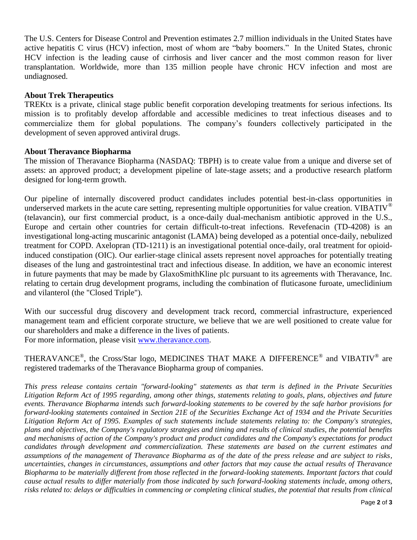The U.S. Centers for Disease Control and Prevention estimates 2.7 million individuals in the United States have active hepatitis C virus (HCV) infection, most of whom are "baby boomers." In the United States, chronic HCV infection is the leading cause of cirrhosis and liver cancer and the most common reason for liver transplantation. Worldwide, more than 135 million people have chronic HCV infection and most are undiagnosed.

#### **About Trek Therapeutics**

TREKtx is a private, clinical stage public benefit corporation developing treatments for serious infections. Its mission is to profitably develop affordable and accessible medicines to treat infectious diseases and to commercialize them for global populations. The company's founders collectively participated in the development of seven approved antiviral drugs.

#### **About Theravance Biopharma**

The mission of Theravance Biopharma (NASDAQ: TBPH) is to create value from a unique and diverse set of assets: an approved product; a development pipeline of late-stage assets; and a productive research platform designed for long-term growth.

Our pipeline of internally discovered product candidates includes potential best-in-class opportunities in underserved markets in the acute care setting, representing multiple opportunities for value creation. VIBATIV<sup>®</sup> (telavancin), our first commercial product, is a once-daily dual-mechanism antibiotic approved in the U.S., Europe and certain other countries for certain difficult-to-treat infections. Revefenacin (TD-4208) is an investigational long-acting muscarinic antagonist (LAMA) being developed as a potential once-daily, nebulized treatment for COPD. Axelopran (TD-1211) is an investigational potential once-daily, oral treatment for opioidinduced constipation (OIC). Our earlier-stage clinical assets represent novel approaches for potentially treating diseases of the lung and gastrointestinal tract and infectious disease. In addition, we have an economic interest in future payments that may be made by GlaxoSmithKline plc pursuant to its agreements with Theravance, Inc. relating to certain drug development programs, including the combination of fluticasone furoate, umeclidinium and vilanterol (the "Closed Triple").

With our successful drug discovery and development track record, commercial infrastructure, experienced management team and efficient corporate structure, we believe that we are well positioned to create value for our shareholders and make a difference in the lives of patients. For more information, please visit [www.theravance.com.](http://www.theravance.com/)

THERAVANCE®, the Cross/Star logo, MEDICINES THAT MAKE A DIFFERENCE® and VIBATIV® are registered trademarks of the Theravance Biopharma group of companies.

*This press release contains certain "forward-looking" statements as that term is defined in the Private Securities Litigation Reform Act of 1995 regarding, among other things, statements relating to goals, plans, objectives and future events. Theravance Biopharma intends such forward-looking statements to be covered by the safe harbor provisions for forward-looking statements contained in Section 21E of the Securities Exchange Act of 1934 and the Private Securities Litigation Reform Act of 1995. Examples of such statements include statements relating to: the Company's strategies, plans and objectives, the Company's regulatory strategies and timing and results of clinical studies, the potential benefits and mechanisms of action of the Company's product and product candidates and the Company's expectations for product candidates through development and commercialization. These statements are based on the current estimates and assumptions of the management of Theravance Biopharma as of the date of the press release and are subject to risks, uncertainties, changes in circumstances, assumptions and other factors that may cause the actual results of Theravance Biopharma to be materially different from those reflected in the forward-looking statements. Important factors that could cause actual results to differ materially from those indicated by such forward-looking statements include, among others, risks related to: delays or difficulties in commencing or completing clinical studies, the potential that results from clinical*